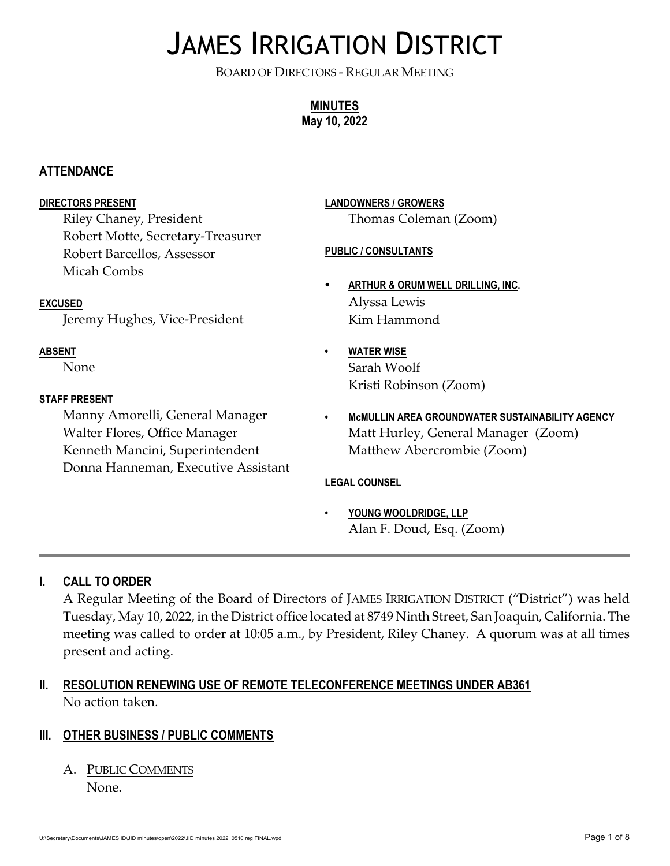# JAMES IRRIGATION DISTRICT

BOARD OF DIRECTORS - REGULAR MEETING

**MINUTES May 10, 2022**

#### **ATTENDANCE**

#### **DIRECTORS PRESENT**

Riley Chaney, President Robert Motte, Secretary-Treasurer Robert Barcellos, Assessor Micah Combs

#### **EXCUSED**

Jeremy Hughes, Vice-President

#### **ABSENT**

None

#### **STAFF PRESENT**

Manny Amorelli, General Manager Walter Flores, Office Manager Kenneth Mancini, Superintendent Donna Hanneman, Executive Assistant

# **LANDOWNERS / GROWERS** Thomas Coleman (Zoom)

#### **PUBLIC / CONSULTANTS**

- C **ARTHUR & ORUM WELL DRILLING, INC.** Alyssa Lewis Kim Hammond
	- **• WATER WISE** Sarah Woolf Kristi Robinson (Zoom)
- **• McMULLIN AREA GROUNDWATER SUSTAINABILITY AGENCY** Matt Hurley, General Manager (Zoom) Matthew Abercrombie (Zoom)

#### **LEGAL COUNSEL**

**• YOUNG WOOLDRIDGE, LLP** Alan F. Doud, Esq. (Zoom)

# **I. CALL TO ORDER**

A Regular Meeting of the Board of Directors of JAMES IRRIGATION DISTRICT ("District") was held Tuesday, May 10, 2022, in the District office located at 8749 Ninth Street, San Joaquin, California. The meeting was called to order at 10:05 a.m., by President, Riley Chaney. A quorum was at all times present and acting.

# **II. RESOLUTION RENEWING USE OF REMOTE TELECONFERENCE MEETINGS UNDER AB361** No action taken.

#### **III. OTHER BUSINESS / PUBLIC COMMENTS**

A. PUBLIC COMMENTS

None.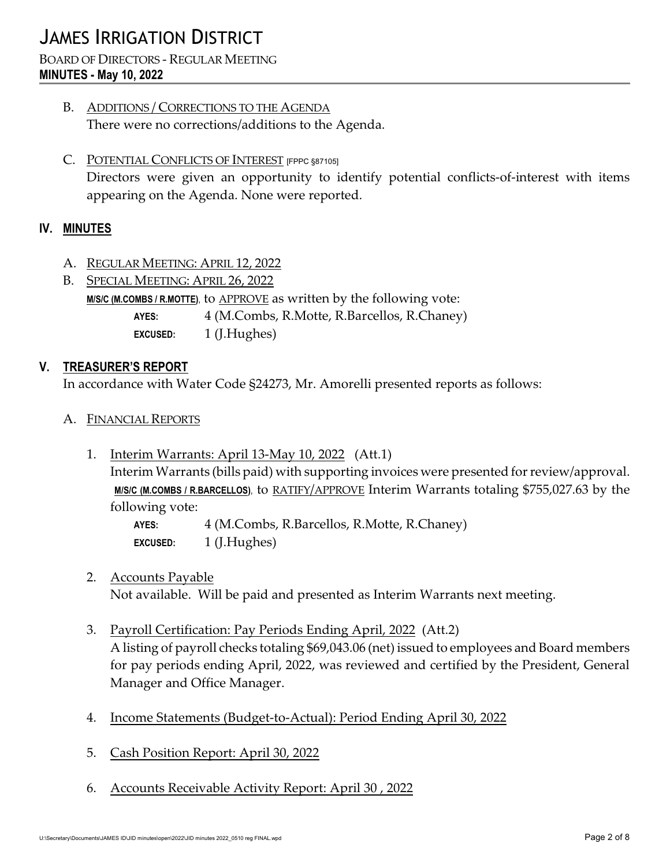# JAMES IRRIGATION DISTRICT

#### BOARD OF DIRECTORS - REGULAR MEETING **MINUTES - May 10, 2022**

- B. ADDITIONS / CORRECTIONS TO THE AGENDA There were no corrections/additions to the Agenda.
- C. POTENTIAL CONFLICTS OF INTEREST [FPPC §87105] Directors were given an opportunity to identify potential conflicts-of-interest with items appearing on the Agenda. None were reported.

## **IV. MINUTES**

- A. REGULAR MEETING: APRIL 12, 2022
- B. SPECIAL MEETING: APRIL 26, 2022 **M/S/C (M.COMBS / R.MOTTE)**, to APPROVE as written by the following vote: **AYES:** 4 (M.Combs, R.Motte, R.Barcellos, R.Chaney) **EXCUSED:** 1 (J.Hughes)

#### **V. TREASURER'S REPORT**

In accordance with Water Code §24273, Mr. Amorelli presented reports as follows:

- A. FINANCIAL REPORTS
	- 1. Interim Warrants: April 13-May 10, 2022 (Att.1) Interim Warrants (bills paid) with supporting invoices were presented for review/approval. **M/S/C (M.COMBS / R.BARCELLOS)**, to RATIFY/APPROVE Interim Warrants totaling \$755,027.63 by the following vote:

**AYES:** 4 (M.Combs, R.Barcellos, R.Motte, R.Chaney) **EXCUSED:** 1 (J.Hughes)

2. Accounts Payable

Not available. Will be paid and presented as Interim Warrants next meeting.

- 3. Payroll Certification: Pay Periods Ending April, 2022 (Att.2) A listing of payroll checks totaling \$69,043.06 (net) issued to employees and Board members for pay periods ending April, 2022, was reviewed and certified by the President, General Manager and Office Manager.
- 4. Income Statements (Budget-to-Actual): Period Ending April 30, 2022
- 5. Cash Position Report: April 30, 2022
- 6. Accounts Receivable Activity Report: April 30 , 2022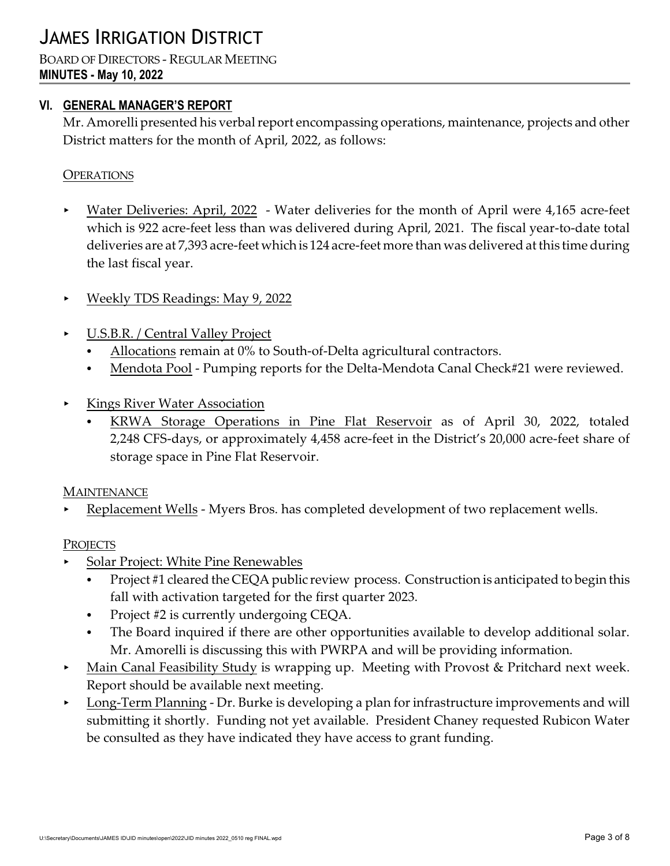#### BOARD OF DIRECTORS - REGULAR MEETING **MINUTES - May 10, 2022**

# **VI. GENERAL MANAGER'S REPORT**

Mr. Amorelli presented his verbal report encompassing operations, maintenance, projects and other District matters for the month of April, 2022, as follows:

# **OPERATIONS**

- Water Deliveries: April, 2022 Water deliveries for the month of April were 4,165 acre-feet which is 922 acre-feet less than was delivered during April, 2021. The fiscal year-to-date total deliveries are at 7,393 acre-feet which is 124 acre-feet more than was delivered at this time during the last fiscal year.
- < Weekly TDS Readings: May 9, 2022
- < U.S.B.R. / Central Valley Project
	- Allocations remain at 0% to South-of-Delta agricultural contractors.
	- Mendota Pool Pumping reports for the Delta-Mendota Canal Check#21 were reviewed.
- < Kings River Water Association
	- KRWA Storage Operations in Pine Flat Reservoir as of April 30, 2022, totaled 2,248 CFS-days, or approximately 4,458 acre-feet in the District's 20,000 acre-feet share of storage space in Pine Flat Reservoir.

#### **MAINTENANCE**

Replacement Wells - Myers Bros. has completed development of two replacement wells.

#### **PROJECTS**

- < Solar Project: White Pine Renewables
	- Project #1 cleared the CEQA public review process. Construction is anticipated to begin this fall with activation targeted for the first quarter 2023.
	- Project #2 is currently undergoing CEQA.
	- The Board inquired if there are other opportunities available to develop additional solar. Mr. Amorelli is discussing this with PWRPA and will be providing information.
- Main Canal Feasibility Study is wrapping up. Meeting with Provost & Pritchard next week. Report should be available next meeting.
- **Long-Term Planning Dr. Burke is developing a plan for infrastructure improvements and will** submitting it shortly. Funding not yet available. President Chaney requested Rubicon Water be consulted as they have indicated they have access to grant funding.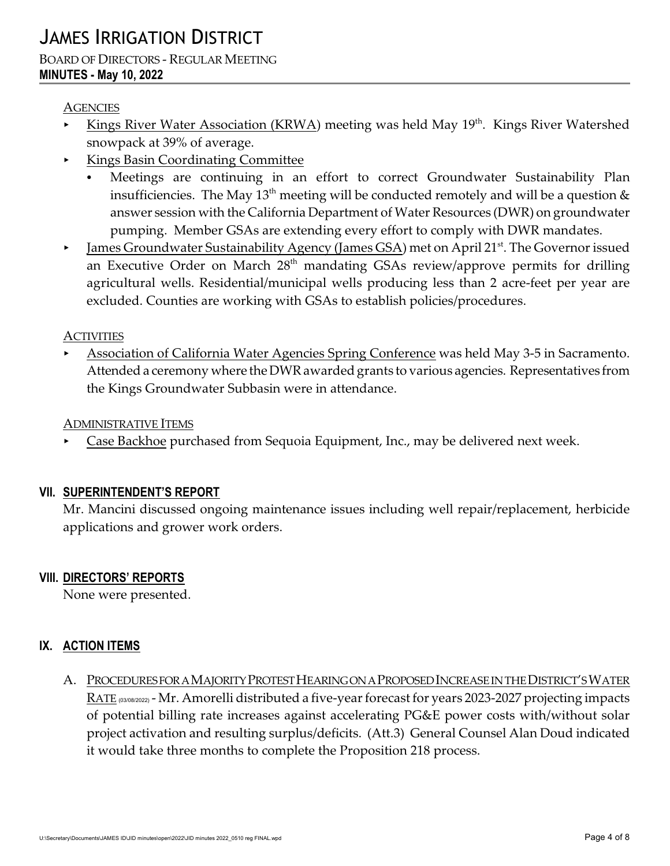#### **AGENCIES**

- **Kings River Water Association (KRWA) meeting was held May 19<sup>th</sup>. Kings River Watershed <b>K** snowpack at 39% of average.
- < Kings Basin Coordinating Committee
	- Meetings are continuing in an effort to correct Groundwater Sustainability Plan insufficiencies. The May  $13<sup>th</sup>$  meeting will be conducted remotely and will be a question  $\&$ answer session with the California Department of Water Resources (DWR) on groundwater pumping. Member GSAs are extending every effort to comply with DWR mandates.
- **Iames Groundwater Sustainability Agency (James GSA)** met on April 21<sup>st</sup>. The Governor issued an Executive Order on March  $28<sup>th</sup>$  mandating GSAs review/approve permits for drilling agricultural wells. Residential/municipal wells producing less than 2 acre-feet per year are excluded. Counties are working with GSAs to establish policies/procedures.

## **ACTIVITIES**

< Association of California Water Agencies Spring Conference was held May 3-5 in Sacramento. Attended a ceremony where the DWR awarded grants to various agencies. Representatives from the Kings Groundwater Subbasin were in attendance.

#### ADMINISTRATIVE ITEMS

< Case Backhoe purchased from Sequoia Equipment, Inc., may be delivered next week.

# **VII. SUPERINTENDENT'S REPORT**

Mr. Mancini discussed ongoing maintenance issues including well repair/replacement, herbicide applications and grower work orders.

# **VIII. DIRECTORS' REPORTS**

None were presented.

# **IX. ACTION ITEMS**

A. PROCEDURES FOR A MAJORITY PROTEST HEARING ON A PROPOSED INCREASE IN THE DISTRICT'S WATER RATE (03/08/2022) - Mr. Amorelli distributed a five-year forecast for years 2023-2027 projecting impacts of potential billing rate increases against accelerating PG&E power costs with/without solar project activation and resulting surplus/deficits. (Att.3) General Counsel Alan Doud indicated it would take three months to complete the Proposition 218 process.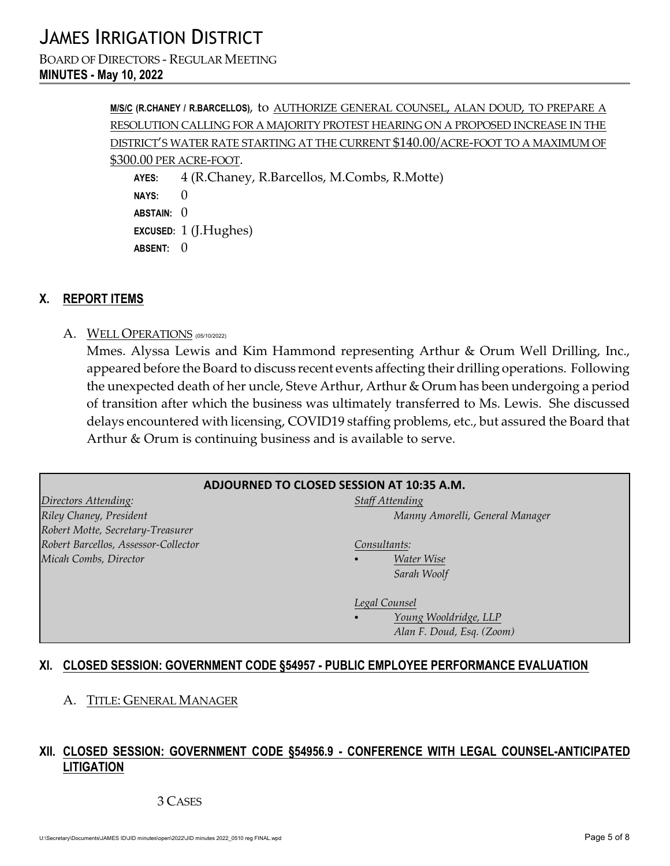BOARD OF DIRECTORS - REGULAR MEETING **MINUTES - May 10, 2022**

> **M/S/C (R.CHANEY / R.BARCELLOS)**, to AUTHORIZE GENERAL COUNSEL, ALAN DOUD, TO PREPARE A RESOLUTION CALLING FOR A MAJORITY PROTEST HEARING ON A PROPOSED INCREASE IN THE DISTRICT'S WATER RATE STARTING AT THE CURRENT \$140.00/ACRE-FOOT TO A MAXIMUM OF \$300.00 PER ACRE-FOOT. **AYES:** 4 (R.Chaney, R.Barcellos, M.Combs, R.Motte) **NAYS:** 0 **ABSTAIN:** 0 **EXCUSED:** 1 (J.Hughes) ABSENT: 0

#### **X. REPORT ITEMS**

A. WELL OPERATIONS (05/10/2022)

Mmes. Alyssa Lewis and Kim Hammond representing Arthur & Orum Well Drilling, Inc., appeared before the Board to discuss recent events affecting their drilling operations. Following the unexpected death of her uncle, Steve Arthur, Arthur & Orum has been undergoing a period of transition after which the business was ultimately transferred to Ms. Lewis. She discussed delays encountered with licensing, COVID19 staffing problems, etc., but assured the Board that Arthur & Orum is continuing business and is available to serve.

| ADJOURNED TO CLOSED SESSION AT 10:35 A.M. |                                 |  |  |  |
|-------------------------------------------|---------------------------------|--|--|--|
| Directors Attending:                      | <b>Staff Attending</b>          |  |  |  |
| Riley Chaney, President                   | Manny Amorelli, General Manager |  |  |  |
| Robert Motte, Secretary-Treasurer         |                                 |  |  |  |
| Robert Barcellos, Assessor-Collector      | Consultants:                    |  |  |  |
| Micah Combs, Director                     | Water Wise<br>$\bullet$         |  |  |  |
|                                           | Sarah Woolf                     |  |  |  |
|                                           |                                 |  |  |  |
|                                           | Legal Counsel                   |  |  |  |
|                                           | Young Wooldridge, LLP           |  |  |  |
|                                           | Alan F. Doud, Esq. (Zoom)       |  |  |  |
|                                           |                                 |  |  |  |

#### **XI. CLOSED SESSION: GOVERNMENT CODE §54957 - PUBLIC EMPLOYEE PERFORMANCE EVALUATION**

A. TITLE: GENERAL MANAGER

## **XII. CLOSED SESSION: GOVERNMENT CODE §54956.9 - CONFERENCE WITH LEGAL COUNSEL-ANTICIPATED LITIGATION**

#### 3 CASES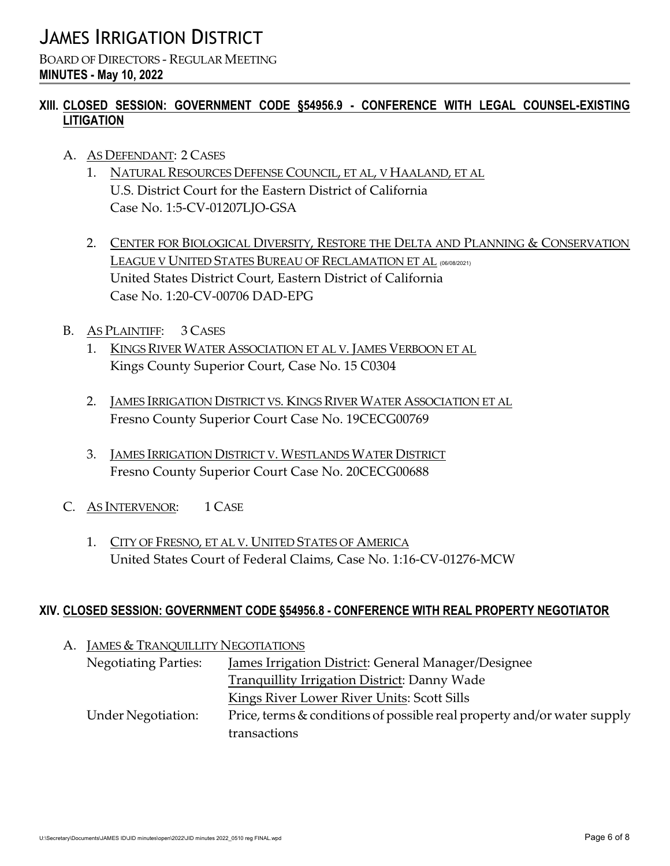BOARD OF DIRECTORS - REGULAR MEETING **MINUTES - May 10, 2022**

# **XIII. CLOSED SESSION: GOVERNMENT CODE §54956.9 - CONFERENCE WITH LEGAL COUNSEL-EXISTING LITIGATION**

- A. AS DEFENDANT: 2 CASES
	- 1. NATURAL RESOURCES DEFENSE COUNCIL, ET AL, V HAALAND, ET AL U.S. District Court for the Eastern District of California Case No. 1:5-CV-01207LJO-GSA
	- 2. CENTER FOR BIOLOGICAL DIVERSITY, RESTORE THE DELTA AND PLANNING & CONSERVATION LEAGUE V UNITED STATES BUREAU OF RECLAMATION ET AL (06/08/2021) United States District Court, Eastern District of California Case No. 1:20-CV-00706 DAD-EPG
- B. AS PLAINTIFF: 3 CASES
	- 1. KINGS RIVER WATER ASSOCIATION ET AL V. JAMES VERBOON ET AL Kings County Superior Court, Case No. 15 C0304
	- 2. JAMES IRRIGATION DISTRICT VS. KINGS RIVER WATER ASSOCIATION ET AL Fresno County Superior Court Case No. 19CECG00769
	- 3. JAMES IRRIGATION DISTRICT V. WESTLANDS WATER DISTRICT Fresno County Superior Court Case No. 20CECG00688
- C. AS INTERVENOR: 1 CASE
	- 1. CITY OF FRESNO, ET AL V. UNITED STATES OF AMERICA United States Court of Federal Claims, Case No. 1:16-CV-01276-MCW

# **XIV. CLOSED SESSION: GOVERNMENT CODE §54956.8 - CONFERENCE WITH REAL PROPERTY NEGOTIATOR**

| А. | <b>JAMES &amp; TRANQUILLITY NEGOTIATIONS</b> |                                                                         |
|----|----------------------------------------------|-------------------------------------------------------------------------|
|    | <b>Negotiating Parties:</b>                  | James Irrigation District: General Manager/Designee                     |
|    |                                              | <b>Tranquillity Irrigation District: Danny Wade</b>                     |
|    |                                              | <b>Kings River Lower River Units: Scott Sills</b>                       |
|    | <b>Under Negotiation:</b>                    | Price, terms & conditions of possible real property and/or water supply |
|    |                                              | transactions                                                            |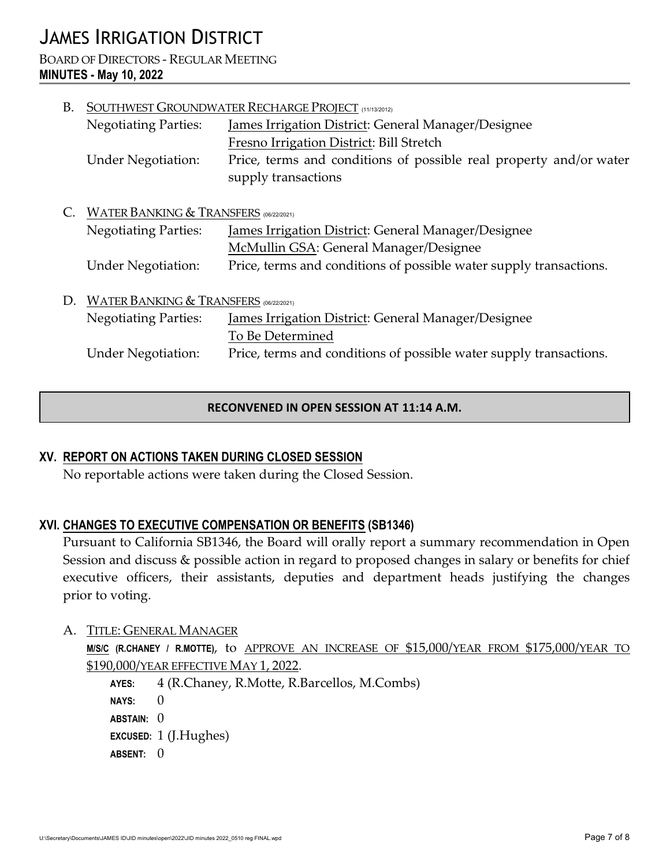# JAMES IRRIGATION DISTRICT

BOARD OF DIRECTORS - REGULAR MEETING **MINUTES - May 10, 2022**

| B. | SOUTHWEST GROUNDWATER RECHARGE PROJECT (11/13/2012) |                                                                    |  |
|----|-----------------------------------------------------|--------------------------------------------------------------------|--|
|    | <b>Negotiating Parties:</b>                         | James Irrigation District: General Manager/Designee                |  |
|    |                                                     | Fresno Irrigation District: Bill Stretch                           |  |
|    | <b>Under Negotiation:</b>                           | Price, terms and conditions of possible real property and/or water |  |
|    |                                                     | supply transactions                                                |  |
|    |                                                     |                                                                    |  |
|    |                                                     | <b>WATER BANKING &amp; TRANSFERS</b> (06/22/2021)                  |  |
|    | <b>Negotiating Parties:</b>                         | James Irrigation District: General Manager/Designee                |  |
|    |                                                     | McMullin GSA: General Manager/Designee                             |  |
|    | <b>Under Negotiation:</b>                           | Price, terms and conditions of possible water supply transactions. |  |
|    |                                                     |                                                                    |  |
| D. | <b>WATER BANKING &amp; TRANSFERS</b> (06/22/2021)   |                                                                    |  |
|    | <b>Negotiating Parties:</b>                         | James Irrigation District: General Manager/Designee                |  |
|    |                                                     | To Be Determined                                                   |  |
|    | <b>Under Negotiation:</b>                           | Price, terms and conditions of possible water supply transactions. |  |
|    |                                                     |                                                                    |  |

#### **RECONVENED IN OPEN SESSION AT 11:14 A.M.**

#### **XV. REPORT ON ACTIONS TAKEN DURING CLOSED SESSION**

No reportable actions were taken during the Closed Session.

#### **XVI. CHANGES TO EXECUTIVE COMPENSATION OR BENEFITS (SB1346)**

Pursuant to California SB1346, the Board will orally report a summary recommendation in Open Session and discuss & possible action in regard to proposed changes in salary or benefits for chief executive officers, their assistants, deputies and department heads justifying the changes prior to voting.

A. TITLE: GENERAL MANAGER

**M/S/C (R.CHANEY / R.MOTTE)**, to APPROVE AN INCREASE OF \$15,000/YEAR FROM \$175,000/YEAR TO \$190,000/YEAR EFFECTIVE MAY 1, 2022.

**AYES:** 4 (R.Chaney, R.Motte, R.Barcellos, M.Combs) **NAYS:** 0 **ABSTAIN:** 0 **EXCUSED:** 1 (J.Hughes) **ABSENT:** 0